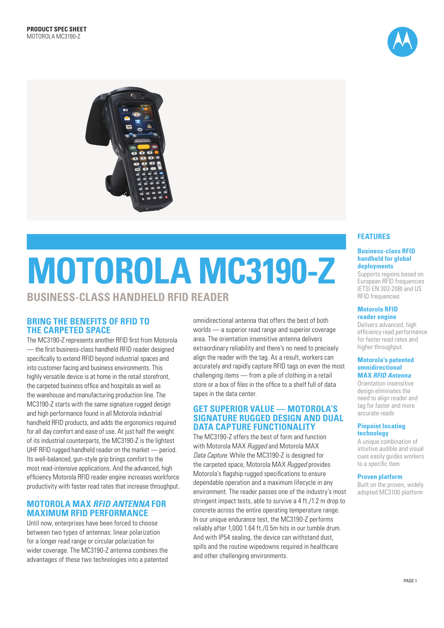



# **MOTOROLA MC3190-Z BUSINESS-CLASS HANDHELD RFID READER**

# **BRING THE BENEFITS OF RFID TO THE CARPETED SPACE**

The MC3190-Z represents another RFID first from Motorola — the first business-class handheld RFID reader designed specifically to extend RFID beyond industrial spaces and into customer facing and business environments. This highly versatile device is at home in the retail storefront, the carpeted business office and hospitals as well as the warehouse and manufacturing production line. The MC3190-Z starts with the same signature rugged design and high performance found in all Motorola industrial handheld RFID products, and adds the ergonomics required for all day comfort and ease of use. At just half the weight of its industrial counterparts, the MC3190-Z is the lightest UHF RFID rugged handheld reader on the market — period. Its well-balanced, gun-style grip brings comfort to the most read-intensive applications. And the advanced, high efficiency Motorola RFID reader engine increases workforce productivity with faster read rates that increase throughput.

# **MOTOROLA MAX** *RFID ANTENNA* **FOR MAXIMUM RFID PERFORMANCE**

Until now, enterprises have been forced to choose between two types of antennas: linear polarization for a longer read range or circular polarization for wider coverage. The MC3190-Z antenna combines the advantages of these two technologies into a patented omnidirectional antenna that offers the best of both worlds — a superior read range and superior coverage area. The orientation insensitive antenna delivers extraordinary reliability and there's no need to precisely align the reader with the tag. As a result, workers can accurately and rapidly capture RFID tags on even the most challenging items — from a pile of clothing in a retail store or a box of files in the office to a shelf full of data tapes in the data center.

## **GET SUPERIOR VALUE — MOTOROLA'S SIGNATURE RUGGED DESIGN AND DUAL DATA CAPTURE FUNCTIONALITY**

The MC3190-Z offers the best of form and function with Motorola MAX *Rugged* and Motorola MAX *Data Capture*. While the MC3190-Z is designed for the carpeted space, Motorola MAX *Rugged* provides Motorola's flagship rugged specifications to ensure dependable operation and a maximum lifecycle in any environment. The reader passes one of the industry's most stringent impact tests, able to survive a 4 ft./1.2 m drop to concrete across the entire operating temperature range. In our unique endurance test, the MC3190-Z performs reliably after 1,000 1.64 ft./0.5m hits in our tumble drum. And with IP54 sealing, the device can withstand dust, spills and the routine wipedowns required in healthcare and other challenging environments.

# **FEATURES**

#### **Business-class RFID handheld for global deployments**

Supports regions based on European RFID frequencies (ETSI EN 302-208) and US RFID frequencies

#### **Motorola RFID reader engine**

Delivers advanced, high efficiency read performance for faster read rates and higher throughput

#### **Motorola's patented omnidirectional MAX** *RFID Antenna*

Orientation insensitive design eliminates the need to align reader and tag for faster and more accurate reads

#### **Pinpoint locating technology**

A unique combination of intuitive audible and visual cues easily guides workers to a specific item

#### **Proven platform**

Built on the proven, widely adopted MC3100 platform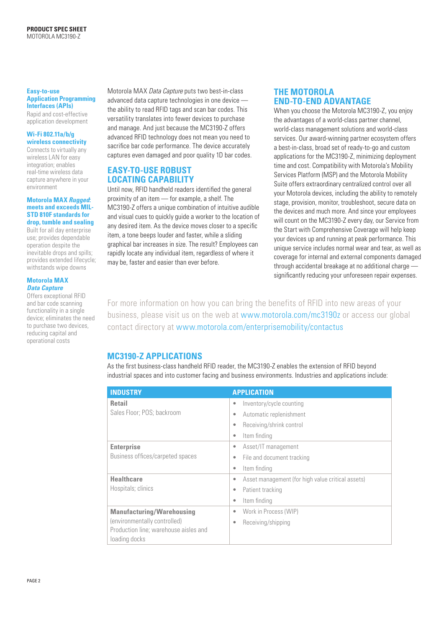#### **Easy-to-use Application Programming Interfaces (APIs)**

Rapid and cost-effective application development

#### **Wi-Fi 802.11a/b/g wireless connectivity**

Connects to virtually any wireless LAN for easy integration; enables real-time wireless data capture anywhere in your environment

#### **Motorola MAX** *Rugged***: meets and exceeds MIL-STD 810F standards for drop, tumble and sealing**

Built for all day enterprise use; provides dependable operation despite the inevitable drops and spills; provides extended lifecycle; withstands wipe downs

#### **Motorola MAX**  *Data Capture*

Offers exceptional RFID and bar code scanning functionality in a single device; eliminates the need to purchase two devices, reducing capital and operational costs

Motorola MAX *Data Capture* puts two best-in-class advanced data capture technologies in one device the ability to read RFID tags and scan bar codes. This versatility translates into fewer devices to purchase and manage. And just because the MC3190-Z offers advanced RFID technology does not mean you need to sacrifice bar code performance. The device accurately captures even damaged and poor quality 1D bar codes.

# **EASY-TO-USE ROBUST LOCATING CAPABILITY**

Until now, RFID handheld readers identified the general proximity of an item — for example, a shelf. The MC3190-Z offers a unique combination of intuitive audible and visual cues to quickly guide a worker to the location of any desired item. As the device moves closer to a specific item, a tone beeps louder and faster, while a sliding graphical bar increases in size. The result? Employees can rapidly locate any individual item, regardless of where it may be, faster and easier than ever before.

## **THE MOTOROLA END-TO-END ADVANTAGE**

When you choose the Motorola MC3190-Z, you enjoy the advantages of a world-class partner channel, world-class management solutions and world-class services. Our award-winning partner ecosystem offers a best-in-class, broad set of ready-to-go and custom applications for the MC3190-Z, minimizing deployment time and cost. Compatibility with Motorola's Mobility Services Platform (MSP) and the Motorola Mobility Suite offers extraordinary centralized control over all your Motorola devices, including the ability to remotely stage, provision, monitor, troubleshoot, secure data on the devices and much more. And since your employees will count on the MC3190-Z every day, our Service from the Start with Comprehensive Coverage will help keep your devices up and running at peak performance. This unique service includes normal wear and tear, as well as coverage for internal and external components damaged through accidental breakage at no additional charge significantly reducing your unforeseen repair expenses.

For more information on how you can bring the benefits of RFID into new areas of your business, please visit us on the web at www.motorola.com/mc3190z or access our global contact directory at www.motorola.com/enterprisemobility/contactus

# **MC3190-Z APPLICATIONS**

As the first business-class handheld RFID reader, the MC3190-Z enables the extension of RFID beyond industrial spaces and into customer facing and business environments. Industries and applications include:

| <b>INDUSTRY</b>                                        | <b>APPLICATION</b>                                     |
|--------------------------------------------------------|--------------------------------------------------------|
| <b>Retail</b>                                          | Inventory/cycle counting<br>۰                          |
| Sales Floor; POS; backroom                             | Automatic replenishment<br>۰                           |
|                                                        | Receiving/shrink control<br>۰                          |
|                                                        | Item finding<br>۰                                      |
| <b>Enterprise</b>                                      | Asset/IT management<br>۰                               |
| Business offices/carpeted spaces                       | File and document tracking<br>۰                        |
|                                                        | Item finding<br>۰                                      |
| <b>Healthcare</b>                                      | Asset management (for high value critical assets)<br>۰ |
| Hospitals; clinics                                     | Patient tracking<br>۰                                  |
|                                                        | Item finding<br>۰                                      |
| <b>Manufacturing/Warehousing</b>                       | Work in Process (WIP)<br>۰                             |
| (environmentally controlled)                           | Receiving/shipping<br>۰                                |
| Production line; warehouse aisles and<br>loading docks |                                                        |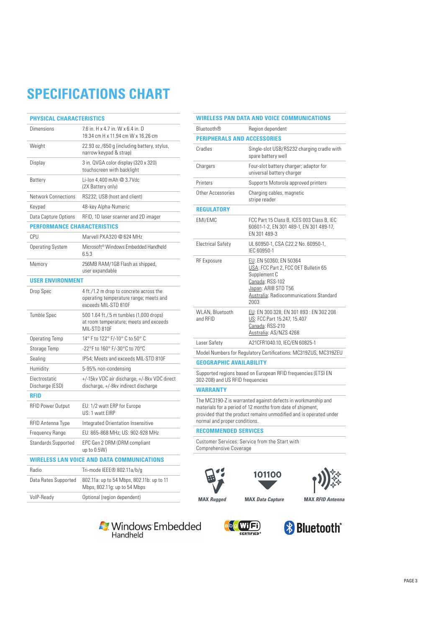# **SPECIFICATIONS CHART**

| <b>PHYSICAL CHARACTERISTICS</b>                   |                                                                                                           |  |
|---------------------------------------------------|-----------------------------------------------------------------------------------------------------------|--|
| <b>Dimensions</b>                                 | 7.6 in. H x 4.7 in. W x 6.4 in. D<br>19.34 cm H x 11.94 cm W x 16.26 cm                                   |  |
| Weight                                            | 22.93 oz./650 g (including battery, stylus,<br>narrow keypad & strap)                                     |  |
| Display                                           | 3 in. QVGA color display (320 x 320)<br>touchscreen with backlight                                        |  |
| Battery                                           | Li-Ion 4.400 mAh @ 3.7Vdc<br>(2X Battery only)                                                            |  |
| <b>Network Connections</b>                        | RS232; USB (host and client)                                                                              |  |
| Keypad                                            | 48-key Alpha-Numeric                                                                                      |  |
| Data Capture Options                              | RFID, 1D laser scanner and 2D imager                                                                      |  |
| <b>PERFORMANCE CHARACTERISTICS</b>                |                                                                                                           |  |
| <b>CPU</b>                                        | Marvell PXA320 @ 624 MHz                                                                                  |  |
| <b>Operating System</b>                           | Microsoft <sup>®</sup> Windows Embedded Handheld<br>6.5.3                                                 |  |
| Memory                                            | 256MB RAM/1GB Flash as shipped,<br>user expandable                                                        |  |
| <b>USER ENVIRONMENT</b>                           |                                                                                                           |  |
| Drop Spec                                         | 4 ft./1.2 m drop to concrete across the<br>operating temperature range; meets and<br>exceeds MIL-STD 810F |  |
| <b>Tumble Spec</b>                                | 500 1.64 ft./.5 m tumbles (1,000 drops)<br>at room temperature; meets and exceeds<br>MIL-STD 810F         |  |
| <b>Operating Temp</b>                             | 14° F to 122° F/-10° C to 50° C                                                                           |  |
| Storage Temp                                      | -22°F to 160° F/-30°C to 70°C                                                                             |  |
| Sealing                                           | IP54: Meets and exceeds MIL-STD 810F                                                                      |  |
| Humidity                                          | 5-95% non-condensing                                                                                      |  |
| Electrostatic<br>Discharge (ESD)                  | +/-15kv VDC air discharge, +/-8kv VDC direct<br>discharge, +/-8kv indirect discharge                      |  |
| <b>RFID</b>                                       |                                                                                                           |  |
| <b>RFID Power Output</b>                          | EU: 1/2 watt ERP for Europe<br>US: 1 watt EIRP                                                            |  |
| RFID Antenna Type                                 | Integrated Orientation Insensitive                                                                        |  |
| Frequency Range                                   | EU: 865-868 MHz; US: 902-928 MHz                                                                          |  |
| <b>Standards Supported</b>                        | EPC Gen 2 DRM (DRM compliant<br>up to 0.5W)                                                               |  |
| <b>WIRELESS LAN VOICE AND DATA COMMUNICATIONS</b> |                                                                                                           |  |
| Radio                                             | Tri-mode IEEE® 802.11a/b/g                                                                                |  |
| Data Rates Supported                              | 802.11a: up to 54 Mbps, 802.11b: up to 11<br>Mbps, 802.11g: up to 54 Mbps                                 |  |
| VolP-Ready                                        | Optional (region dependent)                                                                               |  |

| WIRELESS PAN DATA AND VOICE COMMUNICATIONS |                                                                                                                                                                                                  |  |
|--------------------------------------------|--------------------------------------------------------------------------------------------------------------------------------------------------------------------------------------------------|--|
| <b>Bluetooth®</b>                          | Region dependent                                                                                                                                                                                 |  |
| <b>PERIPHERALS AND ACCESSORIES</b>         |                                                                                                                                                                                                  |  |
| Cradles                                    | Single-slot USB/RS232 charging cradle with<br>spare battery well                                                                                                                                 |  |
| Chargers                                   | Four-slot battery charger; adaptor for<br>universal battery charger                                                                                                                              |  |
| Printers                                   | Supports Motorola approved printers                                                                                                                                                              |  |
| Other Accessories                          | Charging cables, magnetic<br>stripe reader                                                                                                                                                       |  |
| <b>REGULATORY</b>                          |                                                                                                                                                                                                  |  |
| EMI/EMC                                    | FCC Part 15 Class B, ICES 003 Class B, IEC<br>60601-1-2, EN 301 489-1, EN 301 489-17,<br>EN 301 489-3                                                                                            |  |
| <b>Electrical Safety</b>                   | UL 60950-1, CSA C22.2 No. 60950-1,<br>IEC 60950-1                                                                                                                                                |  |
| <b>RF</b> Exposure                         | EU: EN 50360; EN 50364<br>USA: FCC Part 2, FCC OET Bulletin 65<br>Supplement C<br>Canada: RSS-102<br>Japan: ARIB STD T56<br>Australia: Radiocommunications Standard<br>2003                      |  |
| WLAN, Bluetooth<br>and RFID                | EU: EN 300 328, EN 301 893 : EN 302 208<br>US: FCC Part 15.247, 15.407<br>Canada: RSS-210<br>Australia: AS/NZS 4268                                                                              |  |
| Laser Safety                               | A21CFR1040.10, IEC/EN 60825-1                                                                                                                                                                    |  |
|                                            | Model Numbers for Regulatory Certifications: MC319ZUS, MC319ZEU                                                                                                                                  |  |
| <b>GEOGRAPHIC AVAILABILITY</b>             |                                                                                                                                                                                                  |  |
| 302-208) and US RFID frequencies           | Supported regions based on European RFID frequencies (ETSI EN                                                                                                                                    |  |
| <b>WARRANTY</b>                            |                                                                                                                                                                                                  |  |
| normal and proper conditions.              | The MC3190-Z is warranted against defects in workmanship and<br>materials for a period of 12 months from date of shipment,<br>provided that the product remains unmodified and is operated under |  |
| <b>RECOMMENDED SERVICES</b>                |                                                                                                                                                                                                  |  |
| <b>Comprehensive Coverage</b>              | Customer Services: Service from the Start with                                                                                                                                                   |  |
| <b>MAX</b> Rugged                          | 101100<br><b>MAX RFID Antenna</b><br><b>MAX Data Capture</b>                                                                                                                                     |  |